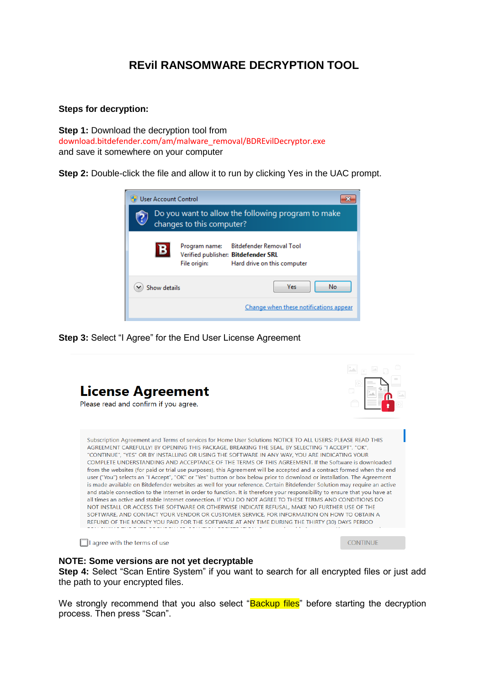# **REvil RANSOMWARE DECRYPTION TOOL**

## **Steps for decryption:**

**Step 1:** Download the decryption tool from download.bitdefender.com/am/malware\_removal/BDREvilDecryptor.exe and save it somewhere on your computer

**Step 2:** Double-click the file and allow it to run by clicking Yes in the UAC prompt.



**Step 3:** Select "I Agree" for the End User License Agreement



#### **NOTE: Some versions are not yet decryptable**

**Step 4:** Select "Scan Entire System" if you want to search for all encrypted files or just add the path to your encrypted files.

We strongly recommend that you also select "Backup files" before starting the decryption process. Then press "Scan".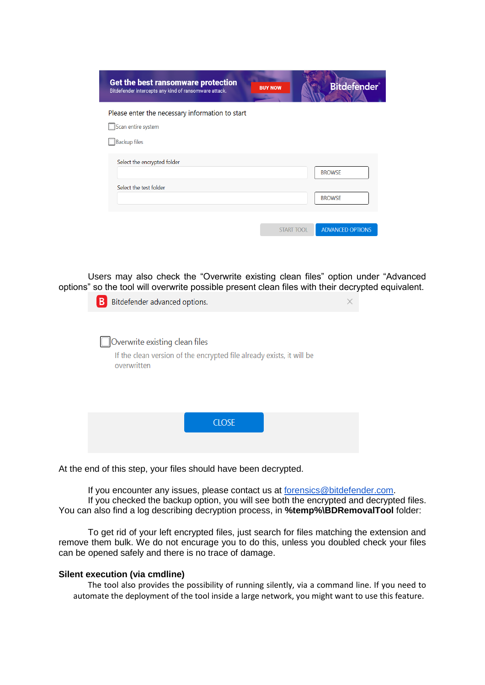| Get the best ransomware protection<br>Bitdefender intercepts any kind of ransomware attack.                                                                                           | <b>BUY NOW</b> | <b>Bitdefender</b>             |  |
|---------------------------------------------------------------------------------------------------------------------------------------------------------------------------------------|----------------|--------------------------------|--|
| Please enter the necessary information to start                                                                                                                                       |                |                                |  |
| Scan entire system<br>Backup files                                                                                                                                                    |                |                                |  |
| Select the encrypted folder<br>Select the test folder                                                                                                                                 |                | <b>BROWSE</b><br><b>BROWSE</b> |  |
|                                                                                                                                                                                       | START TOOL     | <b>ADVANCED OPTIONS</b>        |  |
| Users may also check the "Overwrite existing clean files" option under "Advanced<br>options" so the tool will overwrite possible present clean files with their decrypted equivalent. |                |                                |  |
| <b>B</b> Bitdefender advanced options.                                                                                                                                                |                |                                |  |
| Overwrite existing clean files<br>If the clean version of the encrypted file already exists, it will be<br>overwritten                                                                |                |                                |  |
|                                                                                                                                                                                       |                |                                |  |

At the end of this step, your files should have been decrypted.

If you encounter any issues, please contact us at [forensics@bitdefender.com.](mailto:forensics@bitdefender.com)

If you checked the backup option, you will see both the encrypted and decrypted files. You can also find a log describing decryption process, in %temp%\BDRemovalTool folder:

To get rid of your left encrypted files, just search for files matching the extension and remove them bulk. We do not encurage you to do this, unless you doubled check your files can be opened safely and there is no trace of damage.

#### **Silent execution (via cmdline)**

The tool also provides the possibility of running silently, via a command line. If you need to automate the deployment of the tool inside a large network, you might want to use this feature.